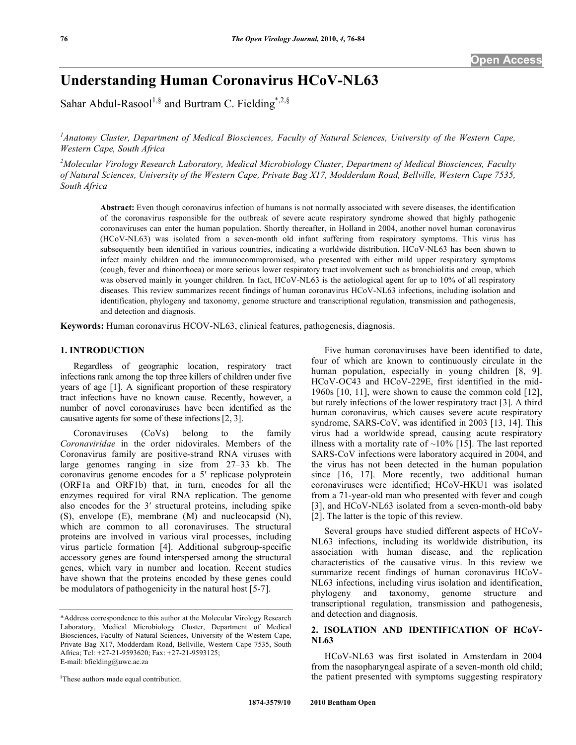# **Understanding Human Coronavirus HCoV-NL63**

Sahar Abdul-Rasool<sup>1,§</sup> and Burtram C. Fielding<sup>\*,2,§</sup>

<sup>1</sup> Anatomy Cluster, Department of Medical Biosciences, Faculty of Natural Sciences, University of the Western Cape, *Western Cape, South Africa* 

*2 Molecular Virology Research Laboratory, Medical Microbiology Cluster, Department of Medical Biosciences, Faculty of Natural Sciences, University of the Western Cape, Private Bag X17, Modderdam Road, Bellville, Western Cape 7535, South Africa* 

**Abstract:** Even though coronavirus infection of humans is not normally associated with severe diseases, the identification of the coronavirus responsible for the outbreak of severe acute respiratory syndrome showed that highly pathogenic coronaviruses can enter the human population. Shortly thereafter, in Holland in 2004, another novel human coronavirus (HCoV-NL63) was isolated from a seven-month old infant suffering from respiratory symptoms. This virus has subsequently been identified in various countries, indicating a worldwide distribution. HCoV-NL63 has been shown to infect mainly children and the immunocommpromised, who presented with either mild upper respiratory symptoms (cough, fever and rhinorrhoea) or more serious lower respiratory tract involvement such as bronchiolitis and croup, which was observed mainly in younger children. In fact, HCoV-NL63 is the aetiological agent for up to 10% of all respiratory diseases. This review summarizes recent findings of human coronavirus HCoV-NL63 infections, including isolation and identification, phylogeny and taxonomy, genome structure and transcriptional regulation, transmission and pathogenesis, and detection and diagnosis.

**Keywords:** Human coronavirus HCOV-NL63, clinical features, pathogenesis, diagnosis.

#### **1. INTRODUCTION**

 Regardless of geographic location, respiratory tract infections rank among the top three killers of children under five years of age [1]. A significant proportion of these respiratory tract infections have no known cause. Recently, however, a number of novel coronaviruses have been identified as the causative agents for some of these infections [2, 3].

 Coronaviruses (CoVs) belong to the family *Coronaviridae* in the order nidovirales. Members of the Coronavirus family are positive-strand RNA viruses with large genomes ranging in size from 27–33 kb. The coronavirus genome encodes for a 5' replicase polyprotein (ORF1a and ORF1b) that, in turn, encodes for all the enzymes required for viral RNA replication. The genome also encodes for the 3' structural proteins, including spike (S), envelope (E), membrane (M) and nucleocapsid (N), which are common to all coronaviruses. The structural proteins are involved in various viral processes, including virus particle formation [4]. Additional subgroup-specific accessory genes are found interspersed among the structural genes, which vary in number and location. Recent studies have shown that the proteins encoded by these genes could be modulators of pathogenicity in the natural host [5-7].

§ These authors made equal contribution.

 Five human coronaviruses have been identified to date, four of which are known to continuously circulate in the human population, especially in young children [8, 9]. HCoV-OC43 and HCoV-229E, first identified in the mid-1960s [10, 11], were shown to cause the common cold [12], but rarely infections of the lower respiratory tract [3]. A third human coronavirus, which causes severe acute respiratory syndrome, SARS-CoV, was identified in 2003 [13, 14]. This virus had a worldwide spread, causing acute respiratory illness with a mortality rate of  $~10\%$  [15]. The last reported SARS-CoV infections were laboratory acquired in 2004, and the virus has not been detected in the human population since [16, 17]. More recently, two additional human coronaviruses were identified; HCoV-HKU1 was isolated from a 71-year-old man who presented with fever and cough [3], and HCoV-NL63 isolated from a seven-month-old baby [2]. The latter is the topic of this review.

 Several groups have studied different aspects of HCoV-NL63 infections, including its worldwide distribution, its association with human disease, and the replication characteristics of the causative virus. In this review we summarize recent findings of human coronavirus HCoV-NL63 infections, including virus isolation and identification, phylogeny and taxonomy, genome structure and transcriptional regulation, transmission and pathogenesis, and detection and diagnosis.

## **2. ISOLATION AND IDENTIFICATION OF HCoV-NL63**

 HCoV-NL63 was first isolated in Amsterdam in 2004 from the nasopharyngeal aspirate of a seven-month old child; the patient presented with symptoms suggesting respiratory

<sup>\*</sup>Address correspondence to this author at the Molecular Virology Research Laboratory, Medical Microbiology Cluster, Department of Medical Biosciences, Faculty of Natural Sciences, University of the Western Cape, Private Bag X17, Modderdam Road, Bellville, Western Cape 7535, South Africa; Tel: +27-21-9593620; Fax: +27-21-9593125; E-mail: bfielding@uwc.ac.za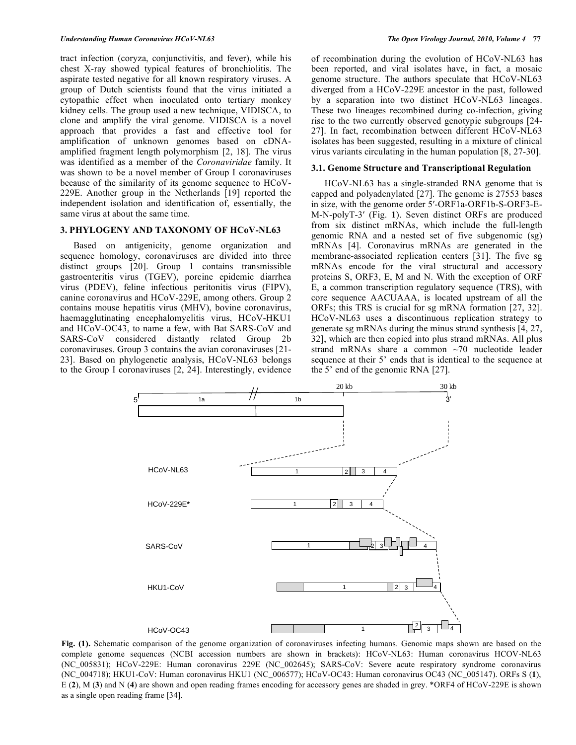tract infection (coryza, conjunctivitis, and fever), while his chest X-ray showed typical features of bronchiolitis. The aspirate tested negative for all known respiratory viruses. A group of Dutch scientists found that the virus initiated a cytopathic effect when inoculated onto tertiary monkey kidney cells. The group used a new technique, VIDISCA, to clone and amplify the viral genome. VIDISCA is a novel approach that provides a fast and effective tool for amplification of unknown genomes based on cDNAamplified fragment length polymorphism [2, 18]. The virus was identified as a member of the *Coronaviridae* family. It was shown to be a novel member of Group I coronaviruses because of the similarity of its genome sequence to HCoV-229E. Another group in the Netherlands [19] reported the independent isolation and identification of, essentially, the same virus at about the same time.

## **3. PHYLOGENY AND TAXONOMY OF HCoV-NL63**

 Based on antigenicity, genome organization and sequence homology, coronaviruses are divided into three distinct groups [20]. Group 1 contains transmissible gastroenteritis virus (TGEV), porcine epidemic diarrhea virus (PDEV), feline infectious peritonitis virus (FIPV), canine coronavirus and HCoV-229E, among others. Group 2 contains mouse hepatitis virus (MHV), bovine coronavirus, haemagglutinating encephalomyelitis virus, HCoV-HKU1 and HCoV-OC43, to name a few, with Bat SARS-CoV and SARS-CoV considered distantly related Group 2b coronaviruses. Group 3 contains the avian coronaviruses [21- 23]. Based on phylogenetic analysis, HCoV-NL63 belongs to the Group I coronaviruses [2, 24]. Interestingly, evidence

of recombination during the evolution of HCoV-NL63 has been reported, and viral isolates have, in fact, a mosaic genome structure. The authors speculate that HCoV-NL63 diverged from a HCoV-229E ancestor in the past, followed by a separation into two distinct HCoV-NL63 lineages. These two lineages recombined during co-infection, giving rise to the two currently observed genotypic subgroups [24- 27]. In fact, recombination between different HCoV-NL63 isolates has been suggested, resulting in a mixture of clinical virus variants circulating in the human population [8, 27-30].

#### **3.1. Genome Structure and Transcriptional Regulation**

 HCoV-NL63 has a single-stranded RNA genome that is capped and polyadenylated [27]. The genome is 27553 bases in size, with the genome order 5'-ORF1a-ORF1b-S-ORF3-E-M-N-polyT-3 (Fig. **1**). Seven distinct ORFs are produced from six distinct mRNAs, which include the full-length genomic RNA and a nested set of five subgenomic (sg) mRNAs [4]. Coronavirus mRNAs are generated in the membrane-associated replication centers [31]. The five sg mRNAs encode for the viral structural and accessory proteins S, ORF3, E, M and N. With the exception of ORF E, a common transcription regulatory sequence (TRS), with core sequence AACUAAA, is located upstream of all the ORFs; this TRS is crucial for sg mRNA formation [27, 32]. HCoV-NL63 uses a discontinuous replication strategy to generate sg mRNAs during the minus strand synthesis [4, 27, 32], which are then copied into plus strand mRNAs. All plus strand mRNAs share a common ~70 nucleotide leader sequence at their 5' ends that is identical to the sequence at the 5' end of the genomic RNA [27].



**Fig. (1).** Schematic comparison of the genome organization of coronaviruses infecting humans. Genomic maps shown are based on the complete genome sequences (NCBI accession numbers are shown in brackets): HCoV-NL63: Human coronavirus HCOV-NL63 (NC\_005831); HCoV-229E: Human coronavirus 229E (NC\_002645); SARS-CoV: Severe acute respiratory syndrome coronavirus (NC\_004718); HKU1-CoV: Human coronavirus HKU1 (NC\_006577); HCoV-OC43: Human coronavirus OC43 (NC\_005147). ORFs S (**1**), E (**2**), M (**3**) and N (**4**) are shown and open reading frames encoding for accessory genes are shaded in grey. \*ORF4 of HCoV-229E is shown as a single open reading frame [34].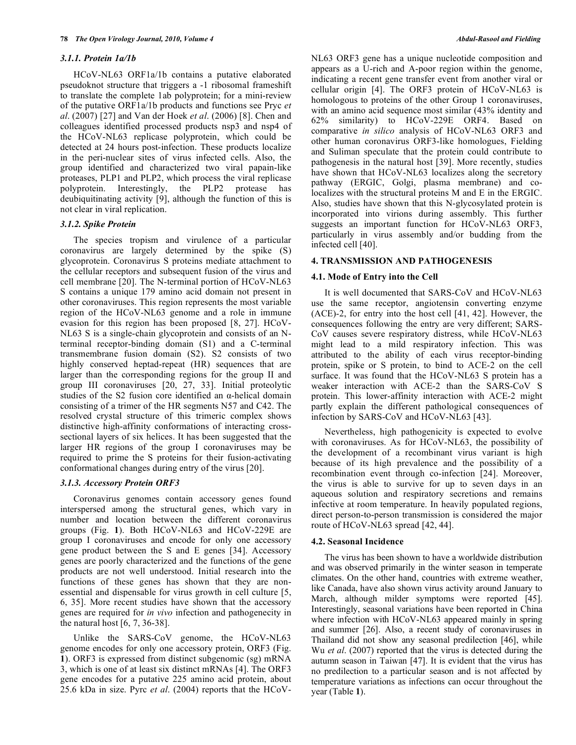#### *3.1.1. Protein 1a/1b*

 HCoV-NL63 ORF1a/1b contains a putative elaborated pseudoknot structure that triggers a -1 ribosomal frameshift to translate the complete 1ab polyprotein; for a mini-review of the putative ORF1a/1b products and functions see Pryc *et al*. (2007) [27] and Van der Hoek *et al*. (2006) [8]. Chen and colleagues identified processed products nsp3 and nsp4 of the HCoV-NL63 replicase polyprotein, which could be detected at 24 hours post-infection. These products localize in the peri-nuclear sites of virus infected cells. Also, the group identified and characterized two viral papain-like proteases, PLP1 and PLP2, which process the viral replicase polyprotein. Interestingly, the PLP2 protease has deubiquitinating activity [9], although the function of this is not clear in viral replication.

#### *3.1.2. Spike Protein*

 The species tropism and virulence of a particular coronavirus are largely determined by the spike (S) glycoprotein. Coronavirus S proteins mediate attachment to the cellular receptors and subsequent fusion of the virus and cell membrane [20]. The N-terminal portion of HCoV-NL63 S contains a unique 179 amino acid domain not present in other coronaviruses. This region represents the most variable region of the HCoV-NL63 genome and a role in immune evasion for this region has been proposed [8, 27]. HCoV-NL63 S is a single-chain glycoprotein and consists of an Nterminal receptor-binding domain (S1) and a C-terminal transmembrane fusion domain (S2). S2 consists of two highly conserved heptad-repeat (HR) sequences that are larger than the corresponding regions for the group II and group III coronaviruses [20, 27, 33]. Initial proteolytic studies of the S2 fusion core identified an  $\alpha$ -helical domain consisting of a trimer of the HR segments N57 and C42. The resolved crystal structure of this trimeric complex shows distinctive high-affinity conformations of interacting crosssectional layers of six helices. It has been suggested that the larger HR regions of the group I coronaviruses may be required to prime the S proteins for their fusion-activating conformational changes during entry of the virus [20].

#### *3.1.3. Accessory Protein ORF3*

 Coronavirus genomes contain accessory genes found interspersed among the structural genes, which vary in number and location between the different coronavirus groups (Fig. **1**). Both HCoV-NL63 and HCoV-229E are group I coronaviruses and encode for only one accessory gene product between the S and E genes [34]. Accessory genes are poorly characterized and the functions of the gene products are not well understood. Initial research into the functions of these genes has shown that they are nonessential and dispensable for virus growth in cell culture [5, 6, 35]. More recent studies have shown that the accessory genes are required for *in vivo* infection and pathogenecity in the natural host [6, 7, 36-38].

 Unlike the SARS-CoV genome, the HCoV-NL63 genome encodes for only one accessory protein, ORF3 (Fig. **1**). ORF3 is expressed from distinct subgenomic (sg) mRNA 3, which is one of at least six distinct mRNAs [4]. The ORF3 gene encodes for a putative 225 amino acid protein, about 25.6 kDa in size. Pyrc *et al*. (2004) reports that the HCoV-

NL63 ORF3 gene has a unique nucleotide composition and appears as a U-rich and A-poor region within the genome, indicating a recent gene transfer event from another viral or cellular origin [4]. The ORF3 protein of HCoV-NL63 is homologous to proteins of the other Group 1 coronaviruses, with an amino acid sequence most similar (43% identity and 62% similarity) to HCoV-229E ORF4. Based on comparative *in silico* analysis of HCoV-NL63 ORF3 and other human coronavirus ORF3-like homologues, Fielding and Suliman speculate that the protein could contribute to pathogenesis in the natural host [39]. More recently, studies have shown that HCoV-NL63 localizes along the secretory pathway (ERGIC, Golgi, plasma membrane) and colocalizes with the structural proteins M and E in the ERGIC. Also, studies have shown that this N-glycosylated protein is incorporated into virions during assembly. This further suggests an important function for HCoV-NL63 ORF3, particularly in virus assembly and/or budding from the infected cell [40].

## **4. TRANSMISSION AND PATHOGENESIS**

#### **4.1. Mode of Entry into the Cell**

 It is well documented that SARS-CoV and HCoV-NL63 use the same receptor, angiotensin converting enzyme (ACE)-2, for entry into the host cell [41, 42]. However, the consequences following the entry are very different; SARS-CoV causes severe respiratory distress, while HCoV-NL63 might lead to a mild respiratory infection. This was attributed to the ability of each virus receptor-binding protein, spike or S protein, to bind to ACE-2 on the cell surface. It was found that the HCoV-NL63 S protein has a weaker interaction with ACE-2 than the SARS-CoV S protein. This lower-affinity interaction with ACE-2 might partly explain the different pathological consequences of infection by SARS-CoV and HCoV-NL63 [43].

 Nevertheless, high pathogenicity is expected to evolve with coronaviruses. As for HCoV-NL63, the possibility of the development of a recombinant virus variant is high because of its high prevalence and the possibility of a recombination event through co-infection [24]. Moreover, the virus is able to survive for up to seven days in an aqueous solution and respiratory secretions and remains infective at room temperature. In heavily populated regions, direct person-to-person transmission is considered the major route of HCoV-NL63 spread [42, 44].

#### **4.2. Seasonal Incidence**

 The virus has been shown to have a worldwide distribution and was observed primarily in the winter season in temperate climates. On the other hand, countries with extreme weather, like Canada, have also shown virus activity around January to March, although milder symptoms were reported [45]. Interestingly, seasonal variations have been reported in China where infection with HCoV-NL63 appeared mainly in spring and summer [26]. Also, a recent study of coronaviruses in Thailand did not show any seasonal predilection [46], while Wu *et al*. (2007) reported that the virus is detected during the autumn season in Taiwan [47]. It is evident that the virus has no predilection to a particular season and is not affected by temperature variations as infections can occur throughout the year (Table **1**).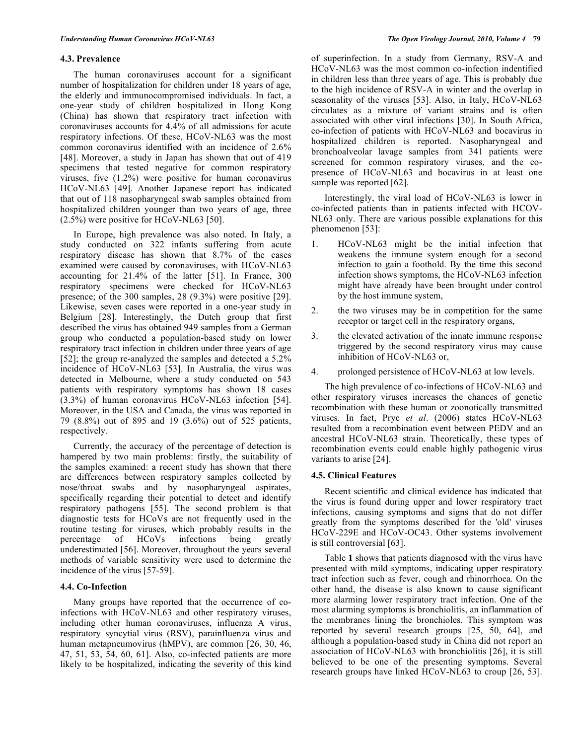#### **4.3. Prevalence**

 The human coronaviruses account for a significant number of hospitalization for children under 18 years of age, the elderly and immunocompromised individuals. In fact, a one-year study of children hospitalized in Hong Kong (China) has shown that respiratory tract infection with coronaviruses accounts for 4.4% of all admissions for acute respiratory infections. Of these, HCoV-NL63 was the most common coronavirus identified with an incidence of 2.6% [48]. Moreover, a study in Japan has shown that out of 419 specimens that tested negative for common respiratory viruses, five (1.2%) were positive for human coronavirus HCoV-NL63 [49]. Another Japanese report has indicated that out of 118 nasopharyngeal swab samples obtained from hospitalized children younger than two years of age, three  $(2.5\%)$  were positive for HCoV-NL63 [50].

 In Europe, high prevalence was also noted. In Italy, a study conducted on 322 infants suffering from acute respiratory disease has shown that 8.7% of the cases examined were caused by coronaviruses, with HCoV-NL63 accounting for 21.4% of the latter [51]. In France, 300 respiratory specimens were checked for HCoV-NL63 presence; of the 300 samples, 28 (9.3%) were positive [29]. Likewise, seven cases were reported in a one-year study in Belgium [28]. Interestingly, the Dutch group that first described the virus has obtained 949 samples from a German group who conducted a population-based study on lower respiratory tract infection in children under three years of age [52]; the group re-analyzed the samples and detected a 5.2% incidence of HCoV-NL63 [53]. In Australia, the virus was detected in Melbourne, where a study conducted on 543 patients with respiratory symptoms has shown 18 cases (3.3%) of human coronavirus HCoV-NL63 infection [54]. Moreover, in the USA and Canada, the virus was reported in 79 (8.8%) out of 895 and 19 (3.6%) out of 525 patients, respectively.

 Currently, the accuracy of the percentage of detection is hampered by two main problems: firstly, the suitability of the samples examined: a recent study has shown that there are differences between respiratory samples collected by nose/throat swabs and by nasopharyngeal aspirates, specifically regarding their potential to detect and identify respiratory pathogens [55]. The second problem is that diagnostic tests for HCoVs are not frequently used in the routine testing for viruses, which probably results in the percentage of HCoVs infections being greatly underestimated [56]. Moreover, throughout the years several methods of variable sensitivity were used to determine the incidence of the virus [57-59].

#### **4.4. Co-Infection**

 Many groups have reported that the occurrence of coinfections with HCoV-NL63 and other respiratory viruses, including other human coronaviruses, influenza A virus, respiratory syncytial virus (RSV), parainfluenza virus and human metapneumovirus (hMPV), are common [26, 30, 46, 47, 51, 53, 54, 60, 61]. Also, co-infected patients are more likely to be hospitalized, indicating the severity of this kind of superinfection. In a study from Germany, RSV-A and HCoV-NL63 was the most common co-infection indentified in children less than three years of age. This is probably due to the high incidence of RSV-A in winter and the overlap in seasonality of the viruses [53]. Also, in Italy, HCoV-NL63 circulates as a mixture of variant strains and is often associated with other viral infections [30]. In South Africa, co-infection of patients with HCoV-NL63 and bocavirus in hospitalized children is reported. Nasopharyngeal and bronchoalveolar lavage samples from 341 patients were screened for common respiratory viruses, and the copresence of HCoV-NL63 and bocavirus in at least one sample was reported [62].

 Interestingly, the viral load of HCoV-NL63 is lower in co-infected patients than in patients infected with HCOV-NL63 only. There are various possible explanations for this phenomenon [53]:

- 1. HCoV-NL63 might be the initial infection that weakens the immune system enough for a second infection to gain a foothold. By the time this second infection shows symptoms, the HCoV-NL63 infection might have already have been brought under control by the host immune system,
- 2. the two viruses may be in competition for the same receptor or target cell in the respiratory organs,
- 3. the elevated activation of the innate immune response triggered by the second respiratory virus may cause inhibition of HCoV-NL63 or,
- 4. prolonged persistence of HCoV-NL63 at low levels.

 The high prevalence of co-infections of HCoV-NL63 and other respiratory viruses increases the chances of genetic recombination with these human or zoonotically transmitted viruses. In fact, Pryc *et al*. (2006) states HCoV-NL63 resulted from a recombination event between PEDV and an ancestral HCoV-NL63 strain. Theoretically, these types of recombination events could enable highly pathogenic virus variants to arise [24].

## **4.5. Clinical Features**

 Recent scientific and clinical evidence has indicated that the virus is found during upper and lower respiratory tract infections, causing symptoms and signs that do not differ greatly from the symptoms described for the 'old' viruses HCoV-229E and HCoV-OC43. Other systems involvement is still controversial [63].

 Table **1** shows that patients diagnosed with the virus have presented with mild symptoms, indicating upper respiratory tract infection such as fever, cough and rhinorrhoea. On the other hand, the disease is also known to cause significant more alarming lower respiratory tract infection. One of the most alarming symptoms is bronchiolitis, an inflammation of the membranes lining the bronchioles. This symptom was reported by several research groups [25, 50, 64], and although a population-based study in China did not report an association of HCoV-NL63 with bronchiolitis [26], it is still believed to be one of the presenting symptoms. Several research groups have linked HCoV-NL63 to croup [26, 53].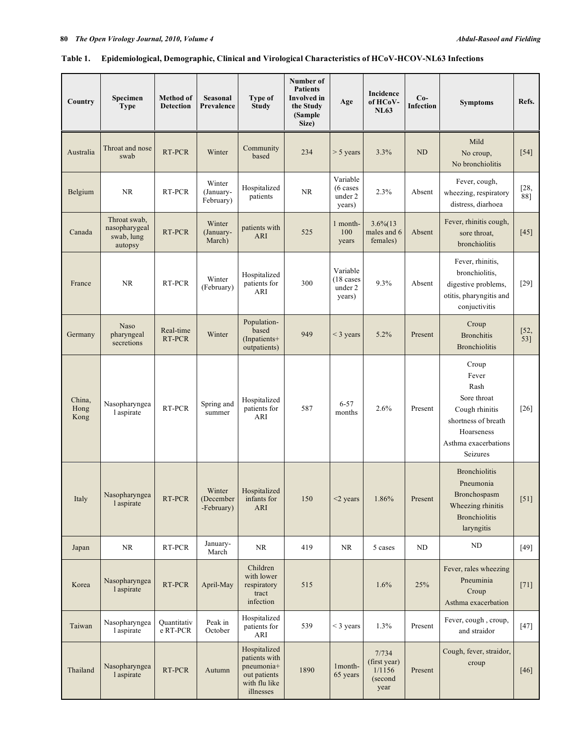## **Table 1. Epidemiological, Demographic, Clinical and Virological Characteristics of HCoV-HCOV-NL63 Infections**

| Country                | Specimen<br><b>Type</b>                                | Method of<br><b>Detection</b> | Seasonal<br>Prevalence            | <b>Type of</b><br><b>Study</b>                                                            | Number of<br><b>Patients</b><br>Involved in<br>the Study<br>(Sample<br>Size) | Age                                                  | Incidence<br>of HCoV-<br><b>NL63</b>               | $Co-$<br><b>Infection</b> | <b>Symptoms</b>                                                                                                                  | Refs.         |
|------------------------|--------------------------------------------------------|-------------------------------|-----------------------------------|-------------------------------------------------------------------------------------------|------------------------------------------------------------------------------|------------------------------------------------------|----------------------------------------------------|---------------------------|----------------------------------------------------------------------------------------------------------------------------------|---------------|
| Australia              | Throat and nose<br>swab                                | RT-PCR                        | Winter                            | Community<br>based                                                                        | 234                                                                          | $> 5$ years                                          | 3.3%                                               | <b>ND</b>                 | Mild<br>No croup,<br>No bronchiolitis                                                                                            | $[54]$        |
| Belgium                | <b>NR</b>                                              | RT-PCR                        | Winter<br>(January-<br>February)  | Hospitalized<br>patients                                                                  | NR                                                                           | Variable<br>$(6 \text{ cases})$<br>under 2<br>years) | 2.3%                                               | Absent                    | Fever, cough,<br>wheezing, respiratory<br>distress, diarhoea                                                                     | $[28,$<br>88] |
| Canada                 | Throat swab,<br>nasopharygeal<br>swab, lung<br>autopsy | RT-PCR                        | Winter<br>(January-<br>March)     | patients with<br>ARI                                                                      | 525                                                                          | 1 month-<br>100<br>years                             | $3.6\%$ (13<br>males and 6<br>females)             | Absent                    | Fever, rhinitis cough,<br>sore throat,<br>bronchiolitis                                                                          | $[45]$        |
| France                 | <b>NR</b>                                              | RT-PCR                        | Winter<br>(February)              | Hospitalized<br>patients for<br>ARI                                                       | 300                                                                          | Variable<br>$(18 \text{ cases}$<br>under 2<br>years) | 9.3%                                               | Absent                    | Fever, rhinitis,<br>bronchiolitis,<br>digestive problems,<br>otitis, pharyngitis and<br>conjuctivitis                            | $[29]$        |
| Germany                | <b>Naso</b><br>pharyngeal<br>secretions                | Real-time<br>RT-PCR           | Winter                            | Population-<br>based<br>$($ Inpatients+<br>outpatients)                                   | 949                                                                          | $<$ 3 years                                          | 5.2%                                               | Present                   | Croup<br><b>Bronchitis</b><br><b>Bronchiolitis</b>                                                                               | [52,<br>53]   |
| China,<br>Hong<br>Kong | Nasopharyngea<br>l aspirate                            | RT-PCR                        | Spring and<br>summer              | Hospitalized<br>patients for<br>ARI                                                       | 587                                                                          | $6 - 57$<br>months                                   | 2.6%                                               | Present                   | Croup<br>Fever<br>Rash<br>Sore throat<br>Cough rhinitis<br>shortness of breath<br>Hoarseness<br>Asthma exacerbations<br>Seizures | $[26]$        |
| Italy                  | Nasopharyngea<br>l aspirate                            | RT-PCR                        | Winter<br>(December<br>-February) | Hospitalized<br>infants for<br><b>ARI</b>                                                 | 150                                                                          | $<$ 2 years                                          | 1.86%                                              | Present                   | <b>Bronchiolitis</b><br>Pneumonia<br>Bronchospasm<br>Wheezing rhinitis<br><b>Bronchiolitis</b><br>laryngitis                     | $[51]$        |
| Japan                  | NR                                                     | RT-PCR                        | January-<br>March                 | NR                                                                                        | 419                                                                          | NR                                                   | 5 cases                                            | $\rm ND$                  | $\rm ND$                                                                                                                         | $[49]$        |
| Korea                  | Nasopharyngea<br>l aspirate                            | RT-PCR                        | April-May                         | Children<br>with lower<br>respiratory<br>tract<br>infection                               | 515                                                                          |                                                      | 1.6%                                               | 25%                       | Fever, rales wheezing<br>Pneuminia<br>Croup<br>Asthma exacerbation                                                               | $[71]$        |
| Taiwan                 | Nasopharyngea<br>l aspirate                            | Quantitativ<br>e RT-PCR       | Peak in<br>October                | Hospitalized<br>patients for<br>ARI                                                       | 539                                                                          | $<$ 3 years                                          | 1.3%                                               | Present                   | Fever, cough, croup,<br>and straidor                                                                                             | $[47]$        |
| Thailand               | Nasopharyngea<br>l aspirate                            | RT-PCR                        | Autumn                            | Hospitalized<br>patients with<br>pneumonia+<br>out patients<br>with flu like<br>illnesses | 1890                                                                         | 1month-<br>65 years                                  | 7/734<br>(first year)<br>1/1156<br>(second<br>year | Present                   | Cough, fever, straidor,<br>croup                                                                                                 | $[46]$        |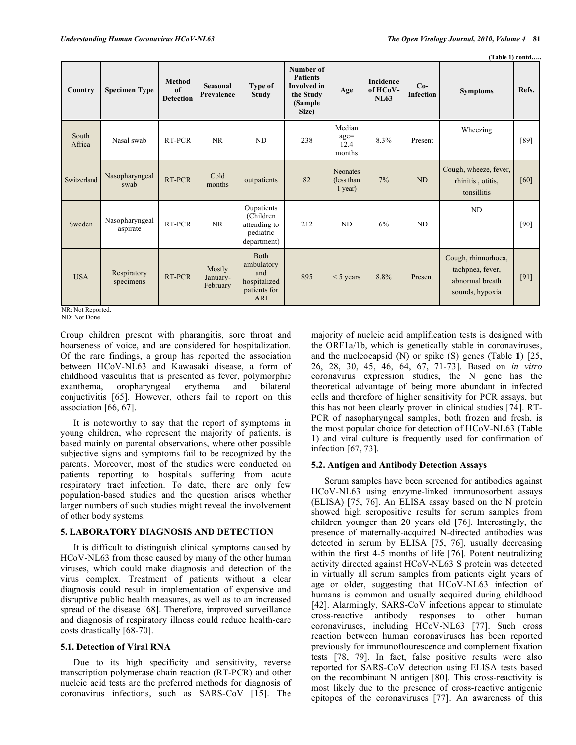|                 |                            |                                         |                                |                                                                         |                                                                                      |                                           |                                      |                           |                                                                               | (Table 1) contd |
|-----------------|----------------------------|-----------------------------------------|--------------------------------|-------------------------------------------------------------------------|--------------------------------------------------------------------------------------|-------------------------------------------|--------------------------------------|---------------------------|-------------------------------------------------------------------------------|-----------------|
| Country         | <b>Specimen Type</b>       | <b>Method</b><br>of<br><b>Detection</b> | <b>Seasonal</b><br>Prevalence  | Type of<br><b>Study</b>                                                 | Number of<br><b>Patients</b><br><b>Involved</b> in<br>the Study<br>(Sample)<br>Size) | Age                                       | <b>Incidence</b><br>of HCoV-<br>NL63 | $Co-$<br><b>Infection</b> | <b>Symptoms</b>                                                               | Refs.           |
| South<br>Africa | Nasal swab                 | RT-PCR                                  | <b>NR</b>                      | <b>ND</b>                                                               | 238                                                                                  | Median<br>$age =$<br>12.4<br>months       | 8.3%                                 | Present                   | Wheezing                                                                      | $[89]$          |
| Switzerland     | Nasopharyngeal<br>swab     | RT-PCR                                  | Cold<br>months                 | outpatients                                                             | 82                                                                                   | <b>Neonates</b><br>(less than)<br>1 year) | 7%                                   | <b>ND</b>                 | Cough, wheeze, fever,<br>rhinitis, otitis,<br>tonsillitis                     | [60]            |
| Sweden          | Nasopharyngeal<br>aspirate | RT-PCR                                  | <b>NR</b>                      | Oupatients<br>(Children<br>attending to<br>pediatric<br>department)     | 212                                                                                  | N <sub>D</sub>                            | 6%                                   | <b>ND</b>                 | <b>ND</b>                                                                     | [90]            |
| <b>USA</b>      | Respiratory<br>specimens   | RT-PCR                                  | Mostly<br>January-<br>February | <b>Both</b><br>ambulatory<br>and<br>hospitalized<br>patients for<br>ARI | 895                                                                                  | $<$ 5 years                               | 8.8%                                 | Present                   | Cough, rhinnorhoea,<br>tachpnea, fever,<br>abnormal breath<br>sounds, hypoxia | [91]            |

NR: Not Reported. ND: Not Done.

Croup children present with pharangitis, sore throat and hoarseness of voice, and are considered for hospitalization. Of the rare findings, a group has reported the association between HCoV-NL63 and Kawasaki disease, a form of childhood vasculitis that is presented as fever, polymorphic exanthema, oropharyngeal erythema and bilateral conjuctivitis [65]. However, others fail to report on this association [66, 67].

 It is noteworthy to say that the report of symptoms in young children, who represent the majority of patients, is based mainly on parental observations, where other possible subjective signs and symptoms fail to be recognized by the parents. Moreover, most of the studies were conducted on patients reporting to hospitals suffering from acute respiratory tract infection. To date, there are only few population-based studies and the question arises whether larger numbers of such studies might reveal the involvement of other body systems.

## **5. LABORATORY DIAGNOSIS AND DETECTION**

 It is difficult to distinguish clinical symptoms caused by HCoV-NL63 from those caused by many of the other human viruses, which could make diagnosis and detection of the virus complex. Treatment of patients without a clear diagnosis could result in implementation of expensive and disruptive public health measures, as well as to an increased spread of the disease [68]. Therefore, improved surveillance and diagnosis of respiratory illness could reduce health-care costs drastically [68-70].

## **5.1. Detection of Viral RNA**

Due to its high specificity and sensitivity, reverse transcription polymerase chain reaction (RT-PCR) and other nucleic acid tests are the preferred methods for diagnosis of coronavirus infections, such as SARS-CoV [15]. The

majority of nucleic acid amplification tests is designed with the ORF1a/1b, which is genetically stable in coronaviruses, and the nucleocapsid (N) or spike (S) genes (Table **1**) [25, 26, 28, 30, 45, 46, 64, 67, 71-73]. Based on *in vitro*  coronavirus expression studies, the N gene has the theoretical advantage of being more abundant in infected cells and therefore of higher sensitivity for PCR assays, but this has not been clearly proven in clinical studies [74]. RT-PCR of nasopharyngeal samples, both frozen and fresh, is the most popular choice for detection of HCoV-NL63 (Table **1**) and viral culture is frequently used for confirmation of infection [67, 73].

## **5.2. Antigen and Antibody Detection Assays**

 Serum samples have been screened for antibodies against HCoV-NL63 using enzyme-linked immunosorbent assays (ELISA) [75, 76]. An ELISA assay based on the N protein showed high seropositive results for serum samples from children younger than 20 years old [76]. Interestingly, the presence of maternally-acquired N-directed antibodies was detected in serum by ELISA [75, 76], usually decreasing within the first 4-5 months of life [76]. Potent neutralizing activity directed against HCoV-NL63 S protein was detected in virtually all serum samples from patients eight years of age or older, suggesting that HCoV-NL63 infection of humans is common and usually acquired during childhood [42]. Alarmingly, SARS-CoV infections appear to stimulate cross-reactive antibody responses to other human coronaviruses, including HCoV-NL63 [77]. Such cross reaction between human coronaviruses has been reported previously for immunoflourescence and complement fixation tests [78, 79]. In fact, false positive results were also reported for SARS-CoV detection using ELISA tests based on the recombinant N antigen [80]. This cross-reactivity is most likely due to the presence of cross-reactive antigenic epitopes of the coronaviruses [77]. An awareness of this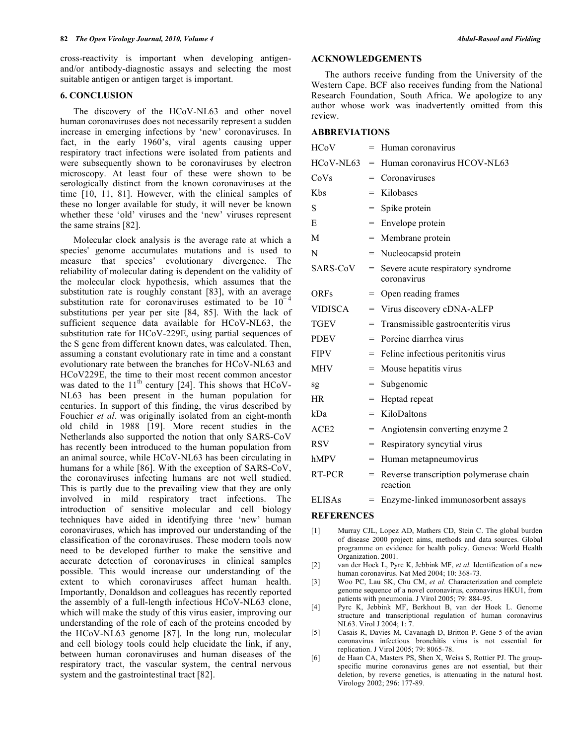cross-reactivity is important when developing antigenand/or antibody-diagnostic assays and selecting the most suitable antigen or antigen target is important.

#### **6. CONCLUSION**

 The discovery of the HCoV-NL63 and other novel human coronaviruses does not necessarily represent a sudden increase in emerging infections by 'new' coronaviruses. In fact, in the early 1960's, viral agents causing upper respiratory tract infections were isolated from patients and were subsequently shown to be coronaviruses by electron microscopy. At least four of these were shown to be serologically distinct from the known coronaviruses at the time [10, 11, 81]. However, with the clinical samples of these no longer available for study, it will never be known whether these 'old' viruses and the 'new' viruses represent the same strains [82].

 Molecular clock analysis is the average rate at which a species' genome accumulates mutations and is used to measure that species' evolutionary divergence. The reliability of molecular dating is dependent on the validity of the molecular clock hypothesis, which assumes that the substitution rate is roughly constant [83], with an average substitution rate for coronaviruses estimated to be  $10^{-1}$ substitutions per year per site [84, 85]. With the lack of sufficient sequence data available for HCoV-NL63, the substitution rate for HCoV-229E, using partial sequences of the S gene from different known dates, was calculated. Then, assuming a constant evolutionary rate in time and a constant evolutionary rate between the branches for HCoV-NL63 and HCoV229E, the time to their most recent common ancestor was dated to the  $11<sup>th</sup>$  century [24]. This shows that HCoV-NL63 has been present in the human population for centuries. In support of this finding, the virus described by Fouchier *et al*. was originally isolated from an eight-month old child in 1988 [19]. More recent studies in the Netherlands also supported the notion that only SARS-CoV has recently been introduced to the human population from an animal source, while HCoV-NL63 has been circulating in humans for a while [86]. With the exception of SARS-CoV, the coronaviruses infecting humans are not well studied. This is partly due to the prevailing view that they are only involved in mild respiratory tract infections. The introduction of sensitive molecular and cell biology techniques have aided in identifying three 'new' human coronaviruses, which has improved our understanding of the classification of the coronaviruses. These modern tools now need to be developed further to make the sensitive and accurate detection of coronaviruses in clinical samples possible. This would increase our understanding of the extent to which coronaviruses affect human health. Importantly, Donaldson and colleagues has recently reported the assembly of a full-length infectious HCoV-NL63 clone, which will make the study of this virus easier, improving our understanding of the role of each of the proteins encoded by the HCoV-NL63 genome [87]. In the long run, molecular and cell biology tools could help elucidate the link, if any, between human coronaviruses and human diseases of the respiratory tract, the vascular system, the central nervous system and the gastrointestinal tract [82].

#### **ACKNOWLEDGEMENTS**

 The authors receive funding from the University of the Western Cape. BCF also receives funding from the National Research Foundation, South Africa. We apologize to any author whose work was inadvertently omitted from this review.

#### **ABBREVIATIONS**

| <b>HCoV</b>    | $=$ | Human coronavirus                                  |
|----------------|-----|----------------------------------------------------|
| HCoV-NL63      | $=$ | Human coronavirus HCOV-NL63                        |
| CoVs           | $=$ | Coronaviruses                                      |
| <b>K</b> bs    | =   | Kilobases                                          |
| S              | $=$ | Spike protein                                      |
| E              | =   | Envelope protein                                   |
| M              | =   | Membrane protein                                   |
| N              | =   | Nucleocapsid protein                               |
| SARS-CoV       | $=$ | Severe acute respiratory syndrome<br>coronavirus   |
| <b>ORFs</b>    | =   | Open reading frames                                |
| <b>VIDISCA</b> | $=$ | Virus discovery cDNA-ALFP                          |
| TGEV           | $=$ | Transmissible gastroenteritis virus                |
| <b>PDEV</b>    | $=$ | Porcine diarrhea virus                             |
| <b>FIPV</b>    | $=$ | Feline infectious peritonitis virus                |
| <b>MHV</b>     | $=$ | Mouse hepatitis virus                              |
| sg             | $=$ | Subgenomic                                         |
| <b>HR</b>      | $=$ | Heptad repeat                                      |
| kDa            | $=$ | KiloDaltons                                        |
| ACE2           | $=$ | Angiotensin converting enzyme 2                    |
| <b>RSV</b>     | $=$ | Respiratory syncytial virus                        |
| hMPV           | $=$ | Human metapneumovirus                              |
| RT-PCR         | $=$ | Reverse transcription polymerase chain<br>reaction |
| <b>ELISAs</b>  | $=$ | Enzyme-linked immunosorbent assays                 |

#### **REFERENCES**

- [1] Murray CJL, Lopez AD, Mathers CD, Stein C. The global burden of disease 2000 project: aims, methods and data sources. Global programme on evidence for health policy. Geneva: World Health Organization. 2001.
- [2] van der Hoek L, Pyrc K, Jebbink MF, *et al.* Identification of a new human coronavirus. Nat Med 2004; 10: 368-73.
- [3] Woo PC, Lau SK, Chu CM, *et al.* Characterization and complete genome sequence of a novel coronavirus, coronavirus HKU1, from patients with pneumonia. J Virol 2005; 79: 884-95.
- [4] Pyrc K, Jebbink MF, Berkhout B, van der Hoek L. Genome structure and transcriptional regulation of human coronavirus NL63. Virol J 2004; 1: 7.
- [5] Casais R, Davies M, Cavanagh D, Britton P. Gene 5 of the avian coronavirus infectious bronchitis virus is not essential for replication. J Virol 2005; 79: 8065-78.
- [6] de Haan CA, Masters PS, Shen X, Weiss S, Rottier PJ. The groupspecific murine coronavirus genes are not essential, but their deletion, by reverse genetics, is attenuating in the natural host. Virology 2002; 296: 177-89.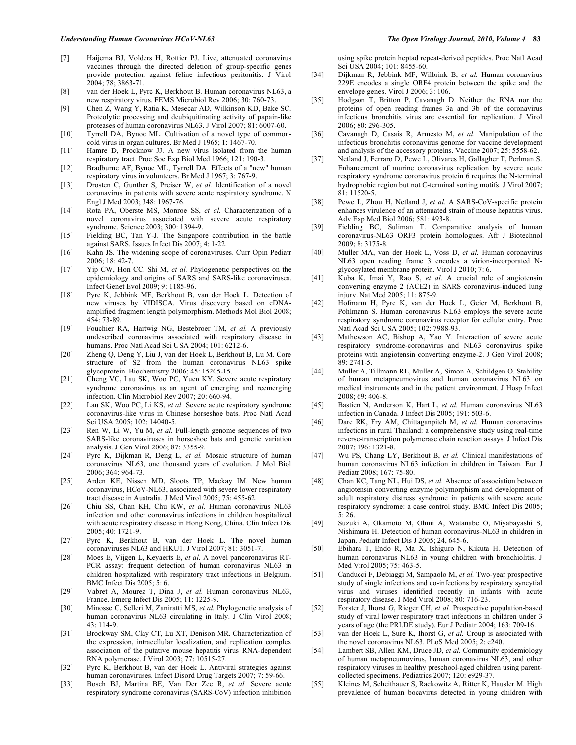- [7] Haijema BJ, Volders H, Rottier PJ. Live, attenuated coronavirus vaccines through the directed deletion of group-specific genes provide protection against feline infectious peritonitis. J Virol 2004; 78; 3863-71.
- [8] van der Hoek L, Pyrc K, Berkhout B. Human coronavirus NL63, a new respiratory virus. FEMS Microbiol Rev 2006; 30: 760-73.
- [9] Chen Z, Wang Y, Ratia K, Mesecar AD, Wilkinson KD, Bake SC. Proteolytic processing and deubiquitinating activity of papain-like proteases of human coronavirus NL63. J Virol 2007; 81: 6007-60.
- [10] Tyrrell DA, Bynoe ML. Cultivation of a novel type of commoncold virus in organ cultures. Br Med J 1965; 1: 1467-70.
- [11] Hamre D, Procknow JJ. A new virus isolated from the human respiratory tract. Proc Soc Exp Biol Med 1966; 121: 190-3.
- [12] Bradburne AF, Bynoe ML, Tyrrell DA. Effects of a "new" human respiratory virus in volunteers. Br Med J 1967; 3: 767-9.
- [13] Drosten C, Gunther S, Preiser W, *et al.* Identification of a novel coronavirus in patients with severe acute respiratory syndrome. N Engl J Med 2003; 348: 1967-76.
- [14] Rota PA, Oberste MS, Monroe SS, *et al.* Characterization of a novel coronavirus associated with severe acute respiratory syndrome. Science 2003; 300: 1394-9.
- [15] Fielding BC, Tan Y-J. The Singapore contribution in the battle against SARS. Issues Infect Dis 2007; 4: 1-22.
- [16] Kahn JS. The widening scope of coronaviruses. Curr Opin Pediatr 2006; 18: 42-7.
- [17] Yip CW, Hon CC, Shi M, *et al.* Phylogenetic perspectives on the epidemiology and origins of SARS and SARS-like coronaviruses. Infect Genet Evol 2009; 9: 1185-96.
- [18] Pyrc K, Jebbink MF, Berkhout B, van der Hoek L. Detection of new viruses by VIDISCA. Virus discovery based on cDNAamplified fragment length polymorphism. Methods Mol Biol 2008; 454: 73-89.
- [19] Fouchier RA, Hartwig NG, Bestebroer TM, *et al.* A previously undescribed coronavirus associated with respiratory disease in humans. Proc Natl Acad Sci USA 2004; 101: 6212-6.
- [20] Zheng Q, Deng Y, Liu J, van der Hoek L, Berkhout B, Lu M. Core structure of S2 from the human coronavirus NL63 spike glycoprotein. Biochemistry 2006; 45: 15205-15.
- [21] Cheng VC, Lau SK, Woo PC, Yuen KY. Severe acute respiratory syndrome coronavirus as an agent of emerging and reemerging infection. Clin Microbiol Rev 2007; 20: 660-94.
- [22] Lau SK, Woo PC, Li KS, *et al.* Severe acute respiratory syndrome coronavirus-like virus in Chinese horseshoe bats. Proc Natl Acad Sci USA 2005; 102: 14040-5.
- [23] Ren W, Li W, Yu M, et al. Full-length genome sequences of two SARS-like coronaviruses in horseshoe bats and genetic variation analysis. J Gen Virol 2006; 87: 3355-9.
- [24] Pyrc K, Dijkman R, Deng L, *et al.* Mosaic structure of human coronavirus NL63, one thousand years of evolution. J Mol Biol 2006; 364: 964-73.
- [25] Arden KE, Nissen MD, Sloots TP, Mackay IM. New human coronavirus, HCoV-NL63, associated with severe lower respiratory tract disease in Australia. J Med Virol 2005; 75: 455-62.
- [26] Chiu SS, Chan KH, Chu KW, *et al.* Human coronavirus NL63 infection and other coronavirus infections in children hospitalized with acute respiratory disease in Hong Kong, China. Clin Infect Dis 2005; 40: 1721-9.
- [27] Pyrc K, Berkhout B, van der Hoek L. The novel human coronaviruses NL63 and HKU1. J Virol 2007; 81: 3051-7.
- [28] Moes E, Vijgen L, Keyaerts E, *et al.* A novel pancoronavirus RT-PCR assay: frequent detection of human coronavirus NL63 in children hospitalized with respiratory tract infections in Belgium. BMC Infect Dis 2005; 5: 6.
- [29] Vabret A, Mourez T, Dina J, *et al.* Human coronavirus NL63, France. Emerg Infect Dis 2005; 11: 1225-9.
- [30] Minosse C, Selleri M, Zaniratti MS, *et al.* Phylogenetic analysis of human coronavirus NL63 circulating in Italy. J Clin Virol 2008; 43: 114-9.
- [31] Brockway SM, Clay CT, Lu XT, Denison MR. Characterization of the expression, intracellular localization, and replication complex association of the putative mouse hepatitis virus RNA-dependent RNA polymerase. J Virol 2003; 77: 10515-27.
- [32] Pyrc K, Berkhout B, van der Hoek L. Antiviral strategies against human coronaviruses. Infect Disord Drug Targets 2007; 7: 59-66.
- [33] Bosch BJ, Martina BE, Van Der Zee R, *et al.* Severe acute respiratory syndrome coronavirus (SARS-CoV) infection inhibition

using spike protein heptad repeat-derived peptides. Proc Natl Acad Sci USA 2004; 101: 8455-60.

- [34] Dijkman R, Jebbink MF, Wilbrink B, *et al.* Human coronavirus 229E encodes a single ORF4 protein between the spike and the envelope genes. Virol J 2006; 3: 106.
- [35] Hodgson T, Britton P, Cavanagh D. Neither the RNA nor the proteins of open reading frames 3a and 3b of the coronavirus infectious bronchitis virus are essential for replication. J Virol 2006; 80: 296-305.
- [36] Cavanagh D, Casais R, Armesto M, *et al.* Manipulation of the infectious bronchitis coronavirus genome for vaccine development and analysis of the accessory proteins. Vaccine 2007; 25: 5558-62.
- [37] Netland J, Ferraro D, Pewe L, Olivares H, Gallagher T, Perlman S. Enhancement of murine coronavirus replication by severe acute respiratory syndrome coronavirus protein 6 requires the N-terminal hydrophobic region but not C-terminal sorting motifs. J Virol 2007; 81: 11520-5.
- [38] Pewe L, Zhou H, Netland J, *et al.* A SARS-CoV-specific protein enhances virulence of an attenuated strain of mouse hepatitis virus. Adv Exp Med Biol 2006; 581: 493-8.
- [39] Fielding BC, Suliman T. Comparative analysis of human coronavirus-NL63 ORF3 protein homologues. Afr J Biotechnol 2009; 8: 3175-8.
- [40] Muller MA, van der Hoek L, Voss D, *et al.* Human coronavirus NL63 open reading frame 3 encodes a virion-incorporated Nglycosylated membrane protein. Virol J 2010; 7: 6.
- [41] Kuba K, Imai Y, Rao S, *et al.* A crucial role of angiotensin converting enzyme 2 (ACE2) in SARS coronavirus-induced lung injury. Nat Med 2005; 11: 875-9.
- [42] Hofmann H, Pyrc K, van der Hoek L, Geier M, Berkhout B, Pohlmann S. Human coronavirus NL63 employs the severe acute respiratory syndrome coronavirus receptor for cellular entry. Proc Natl Acad Sci USA 2005; 102: 7988-93.
- [43] Mathewson AC, Bishop A, Yao Y. Interaction of severe acute respiratory syndrome-coronavirus and NL63 coronavirus spike proteins with angiotensin converting enzyme-2. J Gen Virol 2008; 89: 2741-5.
- [44] Muller A, Tillmann RL, Muller A, Simon A, Schildgen O. Stability of human metapneumovirus and human coronavirus NL63 on medical instruments and in the patient environment. J Hosp Infect 2008; 69: 406-8.
- [45] Bastien N, Anderson K, Hart L, *et al.* Human coronavirus NL63 infection in Canada. J Infect Dis 2005; 191: 503-6.
- [46] Dare RK, Fry AM, Chittaganpitch M, *et al.* Human coronavirus infections in rural Thailand: a comprehensive study using real-time reverse-transcription polymerase chain reaction assays. J Infect Dis 2007; 196: 1321-8.
- [47] Wu PS, Chang LY, Berkhout B, *et al.* Clinical manifestations of human coronavirus NL63 infection in children in Taiwan. Eur J Pediatr 2008; 167: 75-80.
- [48] Chan KC, Tang NL, Hui DS, *et al.* Absence of association between angiotensin converting enzyme polymorphism and development of adult respiratory distress syndrome in patients with severe acute respiratory syndrome: a case control study. BMC Infect Dis 2005; 5: 26.
- [49] Suzuki A, Okamoto M, Ohmi A, Watanabe O, Miyabayashi S, Nishimura H. Detection of human coronavirus-NL63 in children in Japan. Pediatr Infect Dis J 2005; 24, 645-6.
- [50] Ebihara T, Endo R, Ma X, Ishiguro N, Kikuta H. Detection of human coronavirus NL63 in young children with bronchiolitis. J Med Virol 2005; 75: 463-5.
- [51] Canducci F, Debiaggi M, Sampaolo M, *et al.* Two-year prospective study of single infections and co-infections by respiratory syncytial virus and viruses identified recently in infants with acute respiratory disease. J Med Virol 2008; 80: 716-23.
- [52] Forster J, Ihorst G, Rieger CH, *et al.* Prospective population-based study of viral lower respiratory tract infections in children under 3 years of age (the PRI.DE study). Eur J Pediatr 2004; 163: 709-16.
- [53] van der Hoek L, Sure K, Ihorst G, *et al.* Croup is associated with the novel coronavirus NL63. PLoS Med 2005; 2: e240.
- [54] Lambert SB, Allen KM, Druce JD, *et al.* Community epidemiology of human metapneumovirus, human coronavirus NL63, and other respiratory viruses in healthy preschool-aged children using parentcollected specimens. Pediatrics 2007; 120: e929-37.
- [55] Kleines M, Scheithauer S, Rackowitz A, Ritter K, Hausler M. High prevalence of human bocavirus detected in young children with